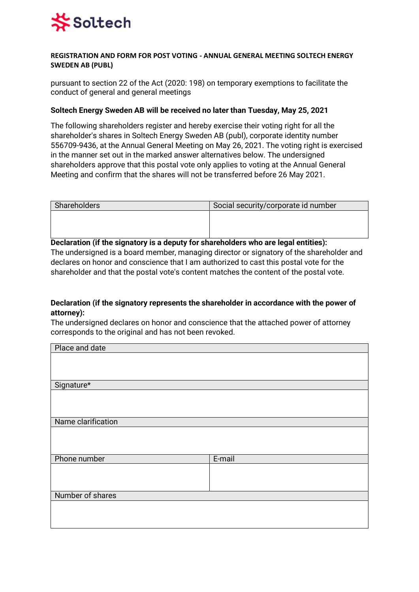

#### **REGISTRATION AND FORM FOR POST VOTING - ANNUAL GENERAL MEETING SOLTECH ENERGY SWEDEN AB (PUBL)**

pursuant to section 22 of the Act (2020: 198) on temporary exemptions to facilitate the conduct of general and general meetings

#### **Soltech Energy Sweden AB will be received no later than Tuesday, May 25, 2021**

The following shareholders register and hereby exercise their voting right for all the shareholder's shares in Soltech Energy Sweden AB (publ), corporate identity number 556709-9436, at the Annual General Meeting on May 26, 2021. The voting right is exercised in the manner set out in the marked answer alternatives below. The undersigned shareholders approve that this postal vote only applies to voting at the Annual General Meeting and confirm that the shares will not be transferred before 26 May 2021.

| Shareholders | Social security/corporate id number |
|--------------|-------------------------------------|
|              |                                     |
|              |                                     |
|              |                                     |

**Declaration (if the signatory is a deputy for shareholders who are legal entities):**  The undersigned is a board member, managing director or signatory of the shareholder and declares on honor and conscience that I am authorized to cast this postal vote for the shareholder and that the postal vote's content matches the content of the postal vote.

#### **Declaration (if the signatory represents the shareholder in accordance with the power of attorney):**

The undersigned declares on honor and conscience that the attached power of attorney corresponds to the original and has not been revoked.

| Place and date     |        |
|--------------------|--------|
|                    |        |
|                    |        |
|                    |        |
| Signature*         |        |
|                    |        |
|                    |        |
|                    |        |
| Name clarification |        |
|                    |        |
|                    |        |
|                    |        |
| Phone number       | E-mail |
|                    |        |
|                    |        |
|                    |        |
| Number of shares   |        |
|                    |        |
|                    |        |
|                    |        |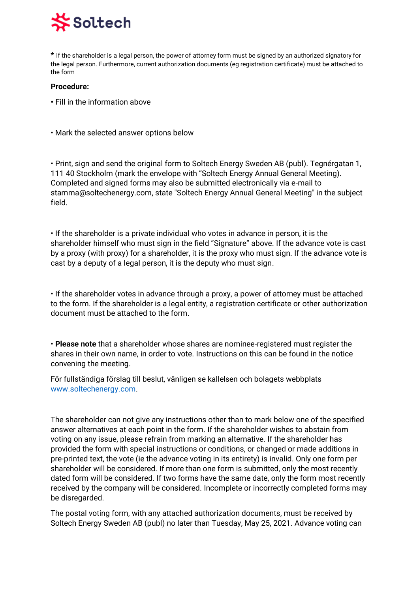### Soltech

**\*** If the shareholder is a legal person, the power of attorney form must be signed by an authorized signatory for the legal person. Furthermore, current authorization documents (eg registration certificate) must be attached to the form

#### **Procedure:**

- Fill in the information above
- Mark the selected answer options below

• Print, sign and send the original form to Soltech Energy Sweden AB (publ). Tegnérgatan 1, 111 40 Stockholm (mark the envelope with "Soltech Energy Annual General Meeting). Completed and signed forms may also be submitted electronically via e-mail to stamma@soltechenergy.com, state "Soltech Energy Annual General Meeting" in the subject field.

• If the shareholder is a private individual who votes in advance in person, it is the shareholder himself who must sign in the field "Signature" above. If the advance vote is cast by a proxy (with proxy) for a shareholder, it is the proxy who must sign. If the advance vote is cast by a deputy of a legal person, it is the deputy who must sign.

• If the shareholder votes in advance through a proxy, a power of attorney must be attached to the form. If the shareholder is a legal entity, a registration certificate or other authorization document must be attached to the form.

• **Please note** that a shareholder whose shares are nominee-registered must register the shares in their own name, in order to vote. Instructions on this can be found in the notice convening the meeting.

För fullständiga förslag till beslut, vänligen se kallelsen och bolagets webbplats [www.soltechenergy.com.](http://www.soltechenergy.com/)

The shareholder can not give any instructions other than to mark below one of the specified answer alternatives at each point in the form. If the shareholder wishes to abstain from voting on any issue, please refrain from marking an alternative. If the shareholder has provided the form with special instructions or conditions, or changed or made additions in pre-printed text, the vote (ie the advance voting in its entirety) is invalid. Only one form per shareholder will be considered. If more than one form is submitted, only the most recently dated form will be considered. If two forms have the same date, only the form most recently received by the company will be considered. Incomplete or incorrectly completed forms may be disregarded.

The postal voting form, with any attached authorization documents, must be received by Soltech Energy Sweden AB (publ) no later than Tuesday, May 25, 2021. Advance voting can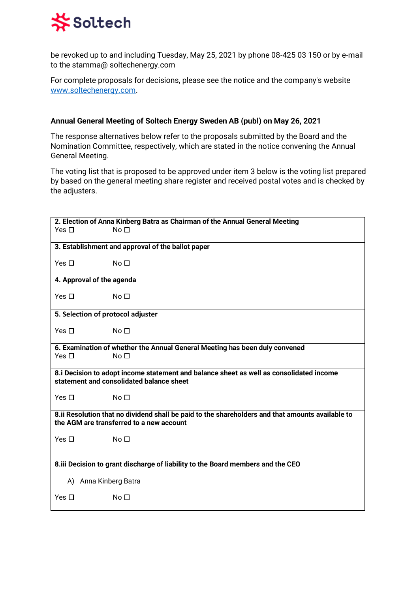## **\*Soltech**

be revoked up to and including Tuesday, May 25, 2021 by phone 08-425 03 150 or by e-mail to the stamma@ soltechenergy.com

For complete proposals for decisions, please see the notice and the company's website [www.soltechenergy.com.](http://www.soltechenergy.com/)

### **Annual General Meeting of Soltech Energy Sweden AB (publ) on May 26, 2021**

The response alternatives below refer to the proposals submitted by the Board and the Nomination Committee, respectively, which are stated in the notice convening the Annual General Meeting.

The voting list that is proposed to be approved under item 3 below is the voting list prepared by based on the general meeting share register and received postal votes and is checked by the adjusters.

|                                                                                 | 2. Election of Anna Kinberg Batra as Chairman of the Annual General Meeting                      |
|---------------------------------------------------------------------------------|--------------------------------------------------------------------------------------------------|
| Yes $\Box$                                                                      | No <sub>1</sub>                                                                                  |
|                                                                                 |                                                                                                  |
|                                                                                 | 3. Establishment and approval of the ballot paper                                                |
|                                                                                 |                                                                                                  |
| Yes $\Box$                                                                      | No <sub>1</sub>                                                                                  |
|                                                                                 |                                                                                                  |
| 4. Approval of the agenda                                                       |                                                                                                  |
|                                                                                 |                                                                                                  |
| Yes $\Box$                                                                      | No <sub>1</sub>                                                                                  |
|                                                                                 |                                                                                                  |
| 5. Selection of protocol adjuster                                               |                                                                                                  |
|                                                                                 |                                                                                                  |
| Yes $\Box$                                                                      | No <sub>1</sub>                                                                                  |
|                                                                                 |                                                                                                  |
| Yes $\Box$                                                                      | 6. Examination of whether the Annual General Meeting has been duly convened<br>No <sub>1</sub>   |
|                                                                                 |                                                                                                  |
|                                                                                 | 8.i Decision to adopt income statement and balance sheet as well as consolidated income          |
|                                                                                 | statement and consolidated balance sheet                                                         |
|                                                                                 |                                                                                                  |
| Yes $\Box$                                                                      | No <sub>1</sub>                                                                                  |
|                                                                                 |                                                                                                  |
|                                                                                 | 8.ii Resolution that no dividend shall be paid to the shareholders and that amounts available to |
|                                                                                 | the AGM are transferred to a new account                                                         |
|                                                                                 |                                                                                                  |
| Yes $\Box$                                                                      | No <sub>1</sub>                                                                                  |
|                                                                                 |                                                                                                  |
|                                                                                 |                                                                                                  |
| 8.iii Decision to grant discharge of liability to the Board members and the CEO |                                                                                                  |
| A) Anna Kinberg Batra                                                           |                                                                                                  |
| Yes $\Box$                                                                      | No <sub>1</sub>                                                                                  |
|                                                                                 |                                                                                                  |
|                                                                                 |                                                                                                  |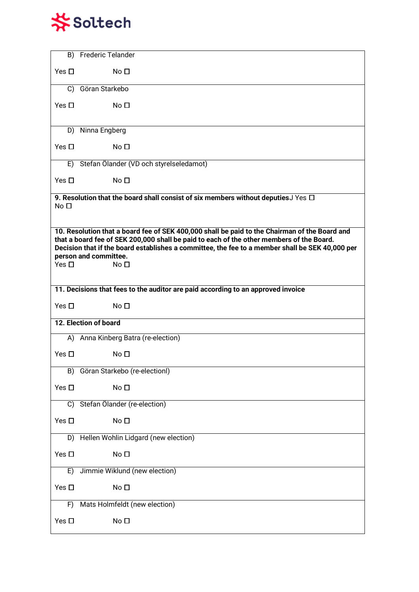

| B)                                                                                                                                                                                                                                                                                                                    | <b>Frederic Telander</b>                                                                |  |
|-----------------------------------------------------------------------------------------------------------------------------------------------------------------------------------------------------------------------------------------------------------------------------------------------------------------------|-----------------------------------------------------------------------------------------|--|
| Yes $\Box$                                                                                                                                                                                                                                                                                                            | No <sub>1</sub>                                                                         |  |
| C)                                                                                                                                                                                                                                                                                                                    | Göran Starkebo                                                                          |  |
| Yes $\Box$                                                                                                                                                                                                                                                                                                            | No <sub>1</sub>                                                                         |  |
|                                                                                                                                                                                                                                                                                                                       | D) Ninna Engberg                                                                        |  |
| Yes $\Box$                                                                                                                                                                                                                                                                                                            | No <sub>1</sub>                                                                         |  |
| E)                                                                                                                                                                                                                                                                                                                    | Stefan Ölander (VD och styrelseledamot)                                                 |  |
| Yes $\Box$                                                                                                                                                                                                                                                                                                            | No <sub>1</sub>                                                                         |  |
| No <sub>1</sub>                                                                                                                                                                                                                                                                                                       | 9. Resolution that the board shall consist of six members without deputies J Yes $\Box$ |  |
| 10. Resolution that a board fee of SEK 400,000 shall be paid to the Chairman of the Board and<br>that a board fee of SEK 200,000 shall be paid to each of the other members of the Board.<br>Decision that if the board establishes a committee, the fee to a member shall be SEK 40,000 per<br>person and committee. |                                                                                         |  |
| Yes $\Box$                                                                                                                                                                                                                                                                                                            | No <sub>1</sub>                                                                         |  |
|                                                                                                                                                                                                                                                                                                                       |                                                                                         |  |
| 11. Decisions that fees to the auditor are paid according to an approved invoice                                                                                                                                                                                                                                      |                                                                                         |  |
| Yes $\Box$                                                                                                                                                                                                                                                                                                            | No <sub>1</sub>                                                                         |  |
|                                                                                                                                                                                                                                                                                                                       | 12. Election of board                                                                   |  |
|                                                                                                                                                                                                                                                                                                                       | A) Anna Kinberg Batra (re-election)                                                     |  |
| Yes $\Box$                                                                                                                                                                                                                                                                                                            | No <sub>1</sub>                                                                         |  |
| B)                                                                                                                                                                                                                                                                                                                    | Göran Starkebo (re-electionl)                                                           |  |
| Yes $\Box$                                                                                                                                                                                                                                                                                                            | No <sub>D</sub>                                                                         |  |
| C)                                                                                                                                                                                                                                                                                                                    | Stefan Ölander (re-election)                                                            |  |
| Yes $\Box$                                                                                                                                                                                                                                                                                                            | No <sub>D</sub>                                                                         |  |
|                                                                                                                                                                                                                                                                                                                       | D) Hellen Wohlin Lidgard (new election)                                                 |  |
| Yes $\Box$                                                                                                                                                                                                                                                                                                            | No <sub>D</sub>                                                                         |  |
| E)                                                                                                                                                                                                                                                                                                                    | Jimmie Wiklund (new election)                                                           |  |
| Yes $\square$                                                                                                                                                                                                                                                                                                         | No <sub>D</sub>                                                                         |  |
| F)                                                                                                                                                                                                                                                                                                                    | Mats Holmfeldt (new election)                                                           |  |
| Yes $\Box$                                                                                                                                                                                                                                                                                                            | No <sub>1</sub>                                                                         |  |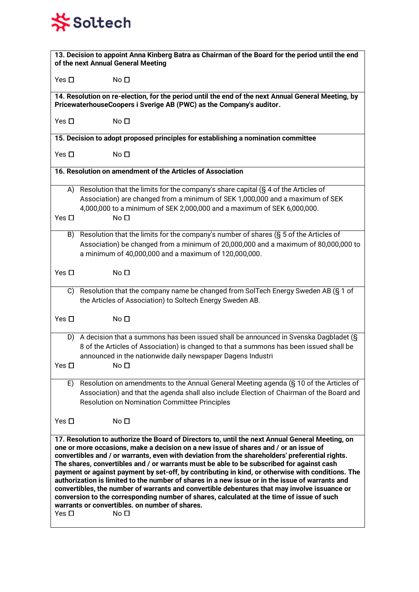# **茶Soltech**

| 13. Decision to appoint Anna Kinberg Batra as Chairman of the Board for the period until the end<br>of the next Annual General Meeting                                                                                                                                                                                                                                                                                                                                                                                                                                                                                                                                                                                                                                                                                                                                           |                                                                                                                                                                                                                                                                    |  |
|----------------------------------------------------------------------------------------------------------------------------------------------------------------------------------------------------------------------------------------------------------------------------------------------------------------------------------------------------------------------------------------------------------------------------------------------------------------------------------------------------------------------------------------------------------------------------------------------------------------------------------------------------------------------------------------------------------------------------------------------------------------------------------------------------------------------------------------------------------------------------------|--------------------------------------------------------------------------------------------------------------------------------------------------------------------------------------------------------------------------------------------------------------------|--|
| Yes $\Box$                                                                                                                                                                                                                                                                                                                                                                                                                                                                                                                                                                                                                                                                                                                                                                                                                                                                       | No <sub>1</sub>                                                                                                                                                                                                                                                    |  |
| 14. Resolution on re-election, for the period until the end of the next Annual General Meeting, by<br>PricewaterhouseCoopers i Sverige AB (PWC) as the Company's auditor.                                                                                                                                                                                                                                                                                                                                                                                                                                                                                                                                                                                                                                                                                                        |                                                                                                                                                                                                                                                                    |  |
| Yes $\Box$                                                                                                                                                                                                                                                                                                                                                                                                                                                                                                                                                                                                                                                                                                                                                                                                                                                                       | No <sub>1</sub>                                                                                                                                                                                                                                                    |  |
|                                                                                                                                                                                                                                                                                                                                                                                                                                                                                                                                                                                                                                                                                                                                                                                                                                                                                  | 15. Decision to adopt proposed principles for establishing a nomination committee                                                                                                                                                                                  |  |
| Yes $\Box$                                                                                                                                                                                                                                                                                                                                                                                                                                                                                                                                                                                                                                                                                                                                                                                                                                                                       | No $\Box$                                                                                                                                                                                                                                                          |  |
|                                                                                                                                                                                                                                                                                                                                                                                                                                                                                                                                                                                                                                                                                                                                                                                                                                                                                  | 16. Resolution on amendment of the Articles of Association                                                                                                                                                                                                         |  |
| Yes $\Box$                                                                                                                                                                                                                                                                                                                                                                                                                                                                                                                                                                                                                                                                                                                                                                                                                                                                       | A) Resolution that the limits for the company's share capital (§ 4 of the Articles of<br>Association) are changed from a minimum of SEK 1,000,000 and a maximum of SEK<br>4,000,000 to a minimum of SEK 2,000,000 and a maximum of SEK 6,000,000.<br>No $\Box$     |  |
|                                                                                                                                                                                                                                                                                                                                                                                                                                                                                                                                                                                                                                                                                                                                                                                                                                                                                  | B) Resolution that the limits for the company's number of shares (§ 5 of the Articles of<br>Association) be changed from a minimum of 20,000,000 and a maximum of 80,000,000 to<br>a minimum of 40,000,000 and a maximum of 120,000,000.                           |  |
| Yes $\Box$                                                                                                                                                                                                                                                                                                                                                                                                                                                                                                                                                                                                                                                                                                                                                                                                                                                                       | No $\Box$                                                                                                                                                                                                                                                          |  |
|                                                                                                                                                                                                                                                                                                                                                                                                                                                                                                                                                                                                                                                                                                                                                                                                                                                                                  | C) Resolution that the company name be changed from SolTech Energy Sweden AB (§ 1 of<br>the Articles of Association) to Soltech Energy Sweden AB.                                                                                                                  |  |
| Yes $\Box$                                                                                                                                                                                                                                                                                                                                                                                                                                                                                                                                                                                                                                                                                                                                                                                                                                                                       | No <sub>1</sub>                                                                                                                                                                                                                                                    |  |
| D)<br>Yes $\square$                                                                                                                                                                                                                                                                                                                                                                                                                                                                                                                                                                                                                                                                                                                                                                                                                                                              | A decision that a summons has been issued shall be announced in Svenska Dagbladet (S)<br>8 of the Articles of Association) is changed to that a summons has been issued shall be<br>announced in the nationwide daily newspaper Dagens Industri<br>No <sub>1</sub> |  |
| E)                                                                                                                                                                                                                                                                                                                                                                                                                                                                                                                                                                                                                                                                                                                                                                                                                                                                               | Resolution on amendments to the Annual General Meeting agenda (§ 10 of the Articles of<br>Association) and that the agenda shall also include Election of Chairman of the Board and<br><b>Resolution on Nomination Committee Principles</b>                        |  |
| Yes $\Box$                                                                                                                                                                                                                                                                                                                                                                                                                                                                                                                                                                                                                                                                                                                                                                                                                                                                       | No <sub>1</sub>                                                                                                                                                                                                                                                    |  |
| 17. Resolution to authorize the Board of Directors to, until the next Annual General Meeting, on<br>one or more occasions, make a decision on a new issue of shares and / or an issue of<br>convertibles and / or warrants, even with deviation from the shareholders' preferential rights.<br>The shares, convertibles and / or warrants must be able to be subscribed for against cash<br>payment or against payment by set-off, by contributing in kind, or otherwise with conditions. The<br>authorization is limited to the number of shares in a new issue or in the issue of warrants and<br>convertibles, the number of warrants and convertible debentures that may involve issuance or<br>conversion to the corresponding number of shares, calculated at the time of issue of such<br>warrants or convertibles, on number of shares.<br>No <sub>1</sub><br>Yes $\Box$ |                                                                                                                                                                                                                                                                    |  |